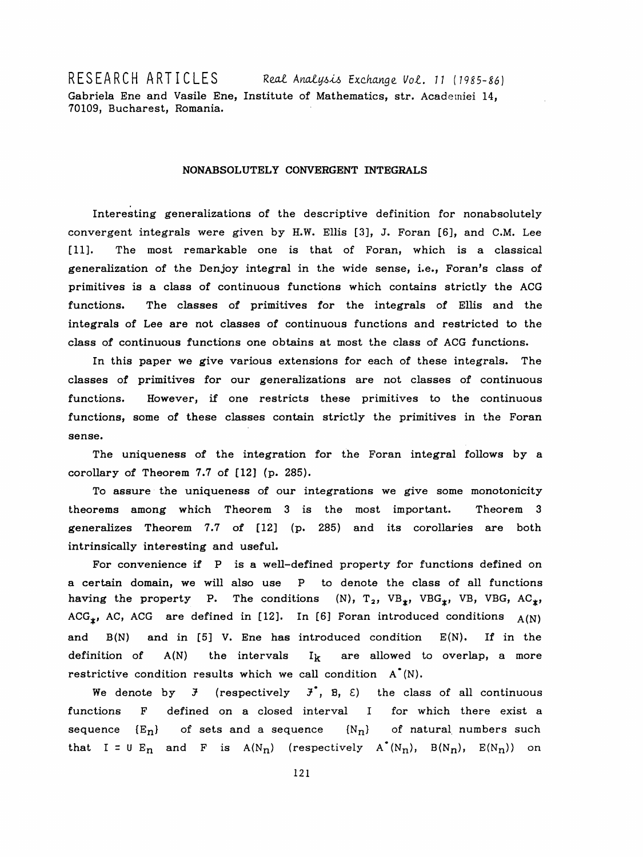RESEARCH ARTICLES Real Analysis Exchange Vol. 11 (1985-86) Gabriela Ene and Vasile Ene, Institute of Mathematics, str. Acadeiniei 14, 70109, Bucharest, Romania.

## NONABSOLUTELY CONVERGENT INTEGRALS

 Interesting generalizations of the descriptive definition for nonabsolutely convergent integrals were given by H.W. Ellis [3], J. Foran [6], and C.M. Lee [11]. The most remarkable one is that of Foran, which is a classical generalization of the Denjoy integral in the wide sense, i.e., Foran's class of primitives is a class of continuous functions which contains strictly the ACG functions. The classes of primitives for the integrals of Ellis and the integrals of Lee are not classes of continuous functions and restricted to the class of continuous functions one obtains at most the class of ACG functions.

 In this paper we give various extensions for each of these integrals. The classes of primitives for our generalizations are not classes of continuous functions. However, if one restricts these primitives to the continuous functions, some of these classes contain strictly the primitives in the Foran sense.

 The uniqueness of the integration for the Foran integral follows by a corollary of Theorem 7.7 of [12] (p. 285).

 To assure the uniqueness of our integrations we give some monotonicity theorems among which Theorem 3 is the most important. Theorem 3 generalizes Theorem 7.7 of [12] (p. 285) and its corollaries are both intrinsically interesting and useful.

For convenience if P is a well-defined property for functions defined on a certain domain, we will also use P to denote the class of all functions having the property P. The conditions (N),  $T_2$ , VB<sub>\*</sub>, VBG<sub>\*</sub>, VB, VBG, AC<sub>\*</sub>, ACG<sub>\*</sub>, AC, ACG are defined in [12]. In [6] Foran introduced conditions  $A(N)$ and  $B(N)$  and in [5] V. Ene has introduced condition  $E(N)$ . If in the definition of  $A(N)$  the intervals  $I_k$  are allowed to overlap, a more restrictive condition results which we call condition  $A^*(N)$ .

We denote by  $\mathfrak{F}$  (respectively  $\mathfrak{F}^*$ ,  $\mathfrak{B}$ ,  $\mathfrak{E}$ ) the class of all continuous functions F defined on a closed interval I for which there exist a sequence  ${E_n}$  of sets and a sequence  ${N_n}$  of natural numbers such that I = U E<sub>n</sub> and F is A(N<sub>n</sub>) (respectively A<sup>\*</sup>(N<sub>n</sub>), B(N<sub>n</sub>), E(N<sub>n</sub>)) on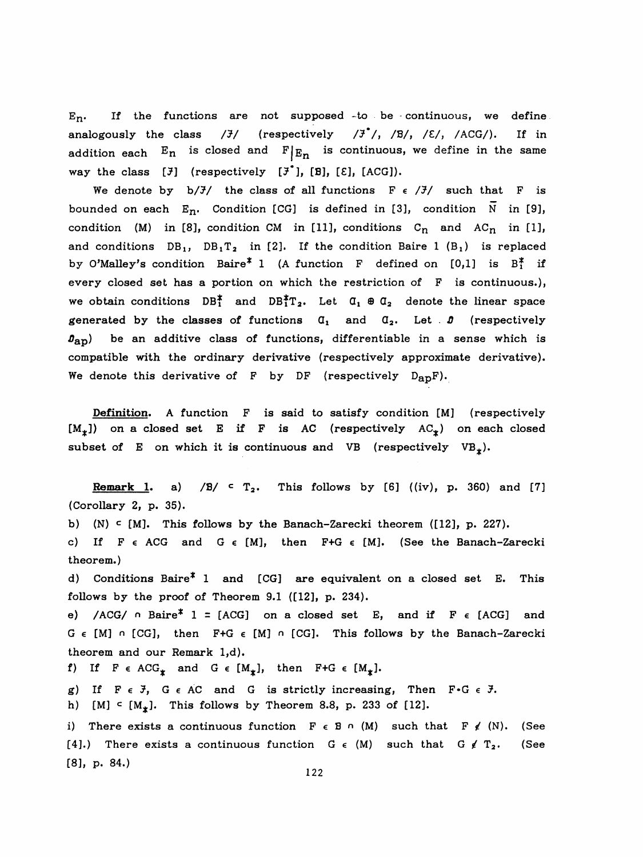$E_n$ . If the functions are not supposed to be continuous, we define analogously the class  $/\bar{J}/$  (respectively  $/\bar{J}^*/$ ,  $/B/$ ,  $/E/$ ,  $/ACG/$ ). If in addition each  $E_n$  is closed and  $F|_{E_n}$  is continuous, we define in the same way the class  $[\bar{f}]$  (respectively  $[\bar{f}$ , [B],  $[\bar{E}]$ , [ACG]).

We denote by  $b/J/$  the class of all functions  $F \in /J/$  such that F is bounded on each  $E_n$ . Condition [CG] is defined in [3], condition  $N$  in [9], condition (M) in [8], condition CM in [11], conditions  $C_n$  and  $AC_n$  in [1], and conditions  $DB_1$ ,  $DB_1T_2$  in [2]. If the condition Baire 1 (B<sub>1</sub>) is replaced by O'Malley's condition Baire<sup>\*</sup> 1 (A function F defined on [0,1] is  $B_1^*$  if every closed set has a portion on which the restriction of F is continuous.), we obtain conditions  $DB_1^*$  and  $DB_1^*T_2$ . Let  $\alpha_1 \oplus \alpha_2$  denote the linear space generated by the classes of functions  $\mathfrak{a}_1$  and  $\mathfrak{a}_2$ . Let  $\mathfrak{b}$  (respectively  $\mathfrak{g}_{\text{ap}}$ ) be an additive class of functions, differentiable in a sense which is compatible with the ordinary derivative (respectively approximate derivative). We denote this derivative of F by DF (respectively  $D_{AD}F$ ).

 Definition. A function F is said to satisfy condition [M] (respectively  $[M_t]$ ) on a closed set E if F is AC (respectively  $AC_t$ ) on each closed subset of E on which it is continuous and VB (respectively VB<sub> $_{*}$ </sub>).

Remark 1. a)  $/B$   $\subset$   $T_2$ . This follows by [6] ((iv), p. 360) and [7] (Corollary 2, p. 35). b) (N) c [M]. This follows by the Banach-Zarecki theorem ([12], p. 227). c) If  $F \in ACG$  and  $G \in [M]$ , then  $F+G \in [M]$ . (See the Banach-Zarecki theorem.) d) Conditions Baire\* 1 and [CG] are equivalent on a closed set E. This follows by the proof of Theorem 9.1 ([12], p. 234). e) /ACG/  $\circ$  Baire<sup>\*</sup> 1 = [ACG] on a closed set E, and if F  $\epsilon$  [ACG] and G  $\epsilon$  [M]  $\cap$  [CG], then F+G  $\epsilon$  [M]  $\cap$  [CG]. This follows by the Banach-Zarecki theorem and our Remark l,d). f) If  $F \in ACG_{\mathbf{\ast}}$  and  $G \in [M_{\mathbf{\ast}}]$ , then  $F+G \in [M_{\mathbf{\ast}}]$ . g) If  $F \in J$ ,  $G \in AC$  and  $G$  is strictly increasing, Then  $F \cdot G \in J$ . h) [M]  $\subset$  [M<sub>\*</sub>]. This follows by Theorem 8.8, p. 233 of [12]. i) There exists a continuous function  $F \in B \cap (M)$  such that  $F \notin (N)$ . (See [4].) There exists a continuous function  $G \in (M)$  such that  $G \notin T_2$ . (See [8], p. 84.)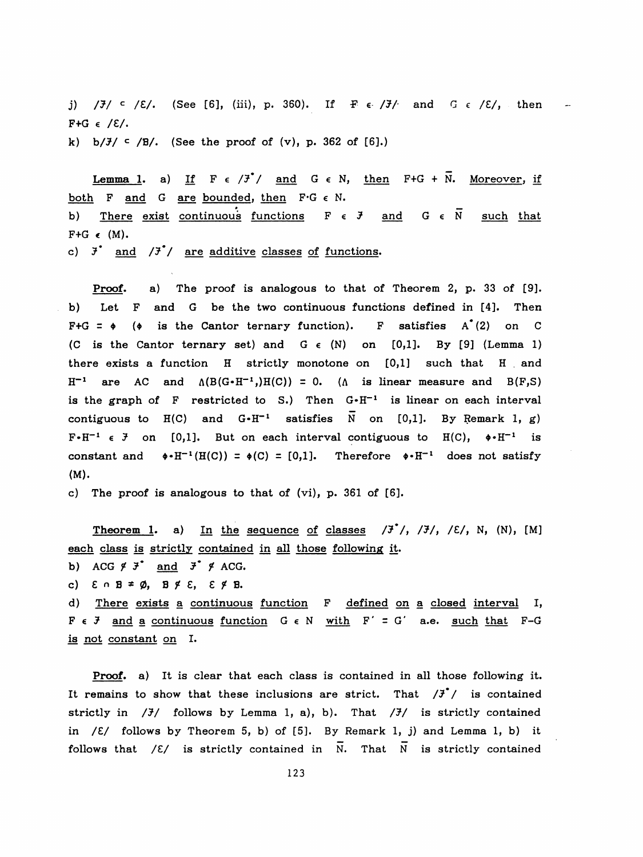j)  $\frac{1}{J}$  / $\frac{3}{J}$  / $\frac{3}{K}$  / $\frac{3}{K}$  / $\frac{1}{K}$  / $\frac{1}{K}$  / $\frac{1}{K}$  / $\frac{1}{K}$  / $\frac{1}{K}$  / $\frac{1}{K}$  / $\frac{1}{K}$  / $\frac{1}{K}$  / $\frac{1}{K}$  / $\frac{1}{K}$  / $\frac{1}{K}$  / $\frac{1}{K}$  / $\frac{1}{K}$  / $\frac{1}{K}$  / $\frac{1}{K}$  / $\frac{1}{K}$  $F+G \in /E/.$ k) b/ $\frac{3}{2}$  /B/. (See the proof of (v), p. 362 of [6].)

**Lemma 1.** a) If  $F \in /3$ <sup>\*</sup>/ and  $G \in N$ , then  $F+G + N$ . Moreover, if both F and G are bounded, then  $F \cdot G \in N$ . b) There exist continuous functions  $F \in \mathcal{F}$  and  $G \in \overline{N}$  such that roof of (v), p. 362 of [6].)<br>  $\frac{1}{3}$ ,  $\frac{1}{3}$ ,  $\frac{1}{3}$ ,  $\frac{1}{3}$ ,  $\frac{1}{3}$ ,  $\frac{1}{3}$ ,  $\frac{1}{3}$ ,  $\frac{1}{3}$ ,  $\frac{1}{3}$ ,  $\frac{1}{3}$ ,  $\frac{1}{3}$ ,  $\frac{1}{3}$ ,  $\frac{1}{3}$ ,  $\frac{1}{3}$ ,  $\frac{1}{3}$ ,  $\frac{1}{3}$ ,  $\frac{1}{3}$ ,  $\frac{$  $F+G \in (M).$ 

c)  $\bar{J}$  and  $\bar{J}$  / are additive classes of functions.

 Proof. a) The proof is analogous to that of Theorem 2, p. 33 of [9]. b) Let F and G be the two continuous functions defined in [4]. Then  $F+G = \phi$  ( $\phi$  is the Cantor ternary function). F satisfies A<sup> $(2)$ </sup> on C (C is the Cantor ternary set) and  $G \in (N)$  on [0,1]. By [9] (Lemma 1) there exists a function H strictly monotone on [0,1] such that H and  $H^{-1}$  are AC and  $\Lambda(B(G \cdot H^{-1})H(C)) = 0$ . ( $\Lambda$  is linear measure and  $B(F,S)$ is the graph of F restricted to S.) Then  $G \cdot H^{-1}$  is linear on each interval contiguous to  $H(C)$  and  $G \cdot H^{-1}$  satisfies  $\overline{N}$  on [0,1]. By Remark 1, g)  $F \cdot H^{-1} \in \mathcal{F}$  on [0,1]. But on each interval contiguous to H(C),  $\phi \cdot H^{-1}$  is constant and  $\phi \cdot H^{-1}(H(C)) = \phi(C) = [0,1]$ . Therefore  $\phi \cdot H^{-1}$  does not satisfy (M).

c) The proof is analogous to that of (vi), p. 361 of [6].

Theorem 1. a) In the sequence of classes  $\frac{1}{3}$ ,  $\frac{1}{3}$ ,  $\frac{1}{3}$ ,  $\frac{1}{2}$ , N, (N), [M] each class is strictly contained in all those following it.

b) ACG  $f \overline{f}$  and  $\overline{f}$   $f$  ACG.

c)  $\epsilon \cap B \neq \emptyset$ ,  $B \not\in \epsilon$ ,  $\epsilon \not\in B$ .

 d) There exists a continuous function F defined on a closed interval I,  $F \in J$  and a continuous function  $G \in N$  with  $F' = G'$  a.e. such that F-G is not constant on I.

 Proof, a) It is clear that each class is contained in all those following it. It remains to show that these inclusions are strict. That  $\mathcal{F}'$  is contained strictly in  $/7/$  follows by Lemma 1, a), b). That  $/7/$  is strictly contained in  $/E/$  follows by Theorem 5, b) of [5]. By Remark 1, j) and Lemma 1, b) it follows that  $\angle$  ( $\angle$  is strictly contained in  $\overline{N}$ . That  $\overline{N}$  is strictly contained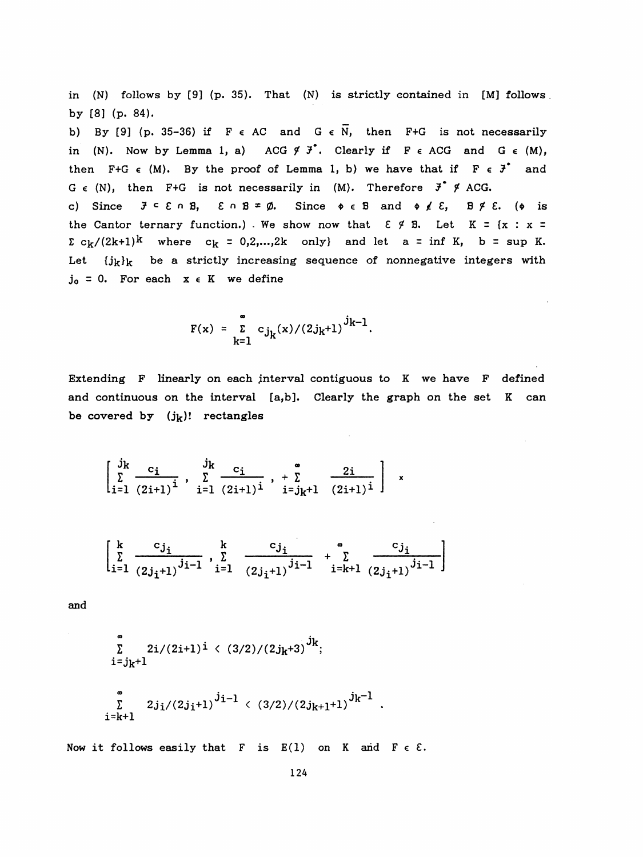in (N) follows by [9] (p. 35). That (N) is strictly contained in [M] follows by [8] (p. 84).

b) By [9] (p. 35-36) if F  $\epsilon$  AC and G  $\epsilon$  N, then F+G is not necessarily in (N). Now by Lemma 1, a) ACG  $\cancel{f}$   $\cancel{f}$ . Clearly if  $F \in ACG$  and  $G \in (M)$ , then F+G  $\epsilon$  (M). By the proof of Lemma 1, b) we have that if  $F \epsilon J^*$  and G  $\epsilon$  (N), then F+G is not necessarily in (M). Therefore  $\vec{J}$   $\gamma$  ACG. c) Since  $J \subseteq \mathcal{E} \cap \mathbb{B}$ ,  $\mathcal{E} \cap \mathbb{B} \neq \emptyset$ . Since  $\phi \in \mathbb{B}$  and  $\phi \neq \mathcal{E}$ ,  $\mathbb{B} \not\subseteq \mathbb{B}$ . ( $\phi$  is the Cantor ternary function.) We show now that  $\epsilon \notin B$ . Let  $K = \{x : x =$  $\Sigma c_k/(2k+1)^k$  where  $c_k = 0,2,...,2k$  only} and let a = inf K, b = sup K. Let  $\{j_k\}_k$  be a strictly increasing sequence of nonnegative integers with

 $j_0 = 0$ . For each  $x \in K$  we define

$$
F(x) = \sum_{k=1}^{\infty} c_{j_k}(x)/(2j_k+1)^{j_{k-1}}
$$
.

 Extending F linearly on each interval contiguous to K we have F defined and continuous on the interval [a,b]. Clearly the graph on the set K can be covered by  $(j_k)!$  rectangles

$$
\begin{bmatrix} j_k & c_i & j_k & c_i \\ \sum_{i=1}^5 \frac{c_i}{(2i+1)^i} & \sum_{i=1}^5 \frac{c_i}{(2i+1)^i} & \sum_{i=j_k+1}^5 \frac{2i}{(2i+1)^i} \end{bmatrix} x
$$

$$
\sum_{i=1}^{k} \frac{c_{j_i}}{(2j_i+1)^{j_i-1}}, \sum_{i=1}^{k} \frac{c_{j_i}}{(2j_i+1)^{j_i-1}} + \sum_{i=k+1}^{\infty} \frac{c_{j_i}}{(2j_i+1)^{j_i-1}}
$$

and

$$
\sum_{i=j_k+1}^{\infty} 2i/(2i+1)^{i} \langle (3/2)/(2j_k+3)^{j_k};
$$
\n
$$
\sum_{i=k+1}^{\infty} 2j_i/(2j_i+1)^{j_i-1} \langle (3/2)/(2j_{k+1}+1)^{j_k-1}.
$$

Now it follows easily that F is  $E(1)$  on K and F  $\epsilon$  E.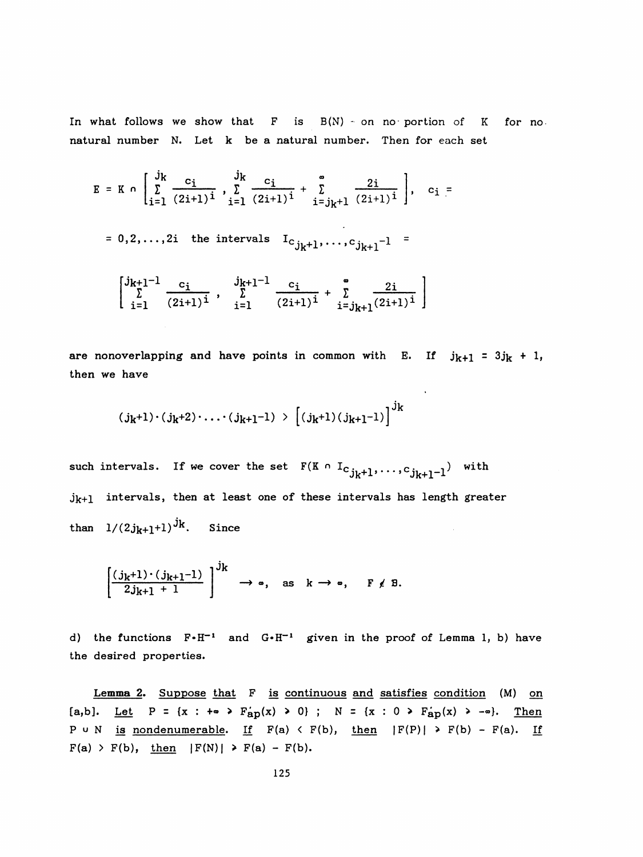In what follows we show that  $F$  is  $B(N)$  on no portion of K for no. natural number N. Let k be a natural number. Then for each set

what follows we show that F is 
$$
B(N)
$$
 on no portion of K for no-  
ural number N. Let k be a natural number. Then for each set  

$$
E = K \cap \left[ \sum_{i=1}^{j_k} \frac{c_i}{(2i+1)^i}, \sum_{i=1}^{j_k} \frac{c_i}{(2i+1)^i} + \sum_{i=j_k+1}^{\infty} \frac{2i}{(2i+1)^i} \right], c_i =
$$

$$
= 0, 2, ..., 2i \text{ the intervals } I_{C_{j_k+1}}, ..., C_{j_{k+1}-1} =
$$

$$
\left[ \sum_{i=1}^{j_{k+1}-1} \frac{c_i}{(2i+1)^i}, \sum_{i=1}^{j_{k+1}-1} \frac{c_i}{(2i+1)^i} + \sum_{i=j_{k+1}}^{\infty} \frac{2i}{(2i+1)^i} \right]
$$

are nonoverlapping and have points in common with E. If  $j_{k+1} = 3j_k + 1$ , then we have

$$
(j_k+1)\cdot(j_k+2)\cdot\ldots\cdot(j_{k+1}-1) > [(j_k+1)(j_{k+1}-1)]^{j_k}
$$

such intervals. If we cover the set  $F(K \cap I_{C,j_k+1}, \ldots, c_{j_k+1}-1)$  with  $j_{k+1}$  intervals, then at least one of these intervals has length greater than  $1/(2j_{k+1}+1)^{j_k}$ . Since  $\bar{z}$ 

$$
\left[\frac{(j_k+1)\cdot(j_{k+1}-1)}{2j_{k+1}+1}\right]^{j_k} \to \infty, \text{ as } k \to \infty, \quad F \neq B.
$$

d) the functions  $F \cdot H^{-1}$  and  $G \cdot H^{-1}$  given in the proof of Lemma 1, b) have the desired properties.

Lemma 2. Suppose that F is continuous and satisfies condition (M) on [a,b]. Let  $P = \{x : +\infty \ge F_{ap}(x) \ge 0\}$ ;  $N = \{x : 0 \ge F_{ap}(x) \ge -\infty\}$ . Then P u N is nondenumerable. If  $F(a) \leftarrow F(b)$ , then  $|F(P)| \rightarrow F(b) - F(a)$ . If  $F(a)$  > F(b), then  $|F(N)|$  > F(a) - F(b).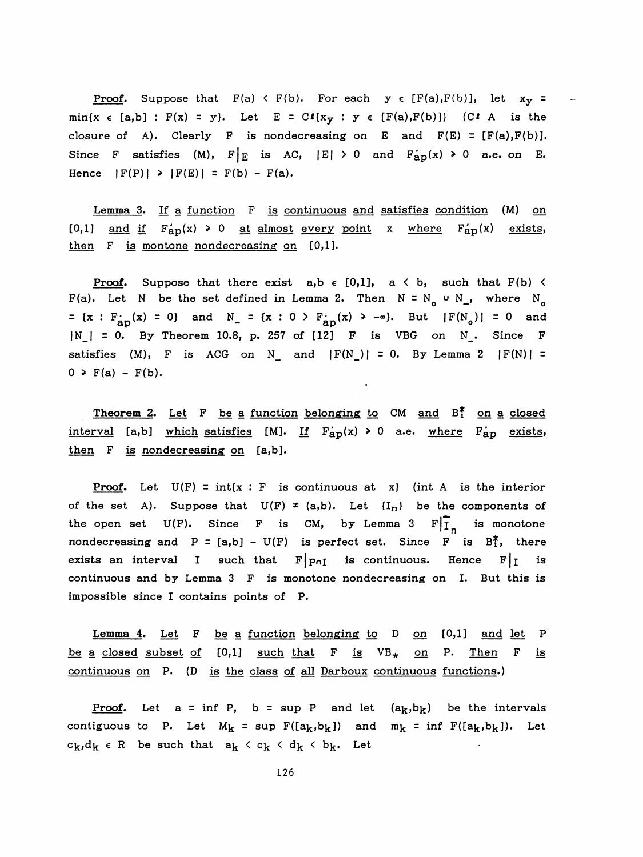**Proof.** Suppose that  $F(a) \leq F(b)$ . For each  $y \in [F(a), F(b)]$ , let  $x_y =$ min{x  $\epsilon$  [a,b] : F(x) = y}. Let E = C $\ell$ {x<sub>y</sub> : y  $\epsilon$  [F(a),F(b)]} (C $\ell$  A is the closure of A). Clearly F is nondecreasing on E and  $F(E) = [F(a), F(b)].$ Since F satisfies (M),  $F|_E$  is AC,  $|E| > 0$  and  $F_{ap}(x) \ge 0$  a.e. on E. Hence  $|F(P)| \ge |F(E)| = F(b) - F(a)$ .

Lemma 3. If a function F is continuous and satisfies condition (M) on [0,1] and if  $F_{ap}(x) \ge 0$  at almost every point x where  $F_{ap}'(x)$  exists, then F is montone nondecreasing on [0,1].

**Proof.** Suppose that there exist  $a, b \in [0,1]$ ,  $a \leq b$ , such that  $F(b) \leq b$ F(a). Let N be the set defined in Lemma 2. Then  $N = N_0 \cup N_1$ , where  $N_0$ =  $\{x : F_{ap}(x) = 0\}$  and  $N_{-} = \{x : 0 > F_{ap}'(x) > -\infty\}$ . But  $|F(N_o)| = 0$  and  $|N_{-}| = 0$ . By Theorem 10.8, p. 257 of [12] F is VBG on N<sub>\_</sub>. Since F satisfies (M), F is ACG on N<sub>\_</sub> and  $|F(N_{})| = 0$ . By Lemma 2  $|F(N)| =$  $0 \geq F(a) - F(b)$ .

Theorem 2. Let F be a function belonging to CM and  $B_1^*$  on a closed interval [a,b] which satisfies [M]. If  $F_{ap}(x) > 0$  a.e. where  $F_{ap}$  exists, then F is nondecreasing on [a,b].

**Proof.** Let  $U(F) = int\{x : F \text{ is continuous at } x\}$  (int A is the interior of the set A). Suppose that  $U(F) \neq (a,b)$ . Let  ${I_n}$  be the components of the open set  $U(F)$ . Since F is CM, by Lemma 3  $F|_{I_n}$  is monotone nondecreasing and  $P = [a,b] - U(F)$  is perfect set. Since F is  $B_1^*$ , there exists an interval I such that  $F|p_{nI}$  is continuous. Hence  $F|I$  is continuous and by Lemma 3 F is monotone nondecreasing on I. But this is impossible since I contains points of P.

Lemma 4. Let  $F$  be a function belonging to  $D$  on  $[0,1]$  and let  $P$ be a closed subset of  $[0,1]$  such that F is  $VB_{*}$  on P. Then F is continuous on P. (D is the class of all Darboux continuous functions. )

**Proof.** Let  $a = \inf P$ ,  $b = \sup P$  and let  $(a_k, b_k)$  be the intervals contiguous to P. Let  $M_k = \sup F([a_k, b_k])$  and  $m_k = \inf F([a_k, b_k])$ . Let  $c_k, d_k \in R$  be such that  $a_k \leftarrow c_k \leftarrow d_k \leftarrow b_k$ . Let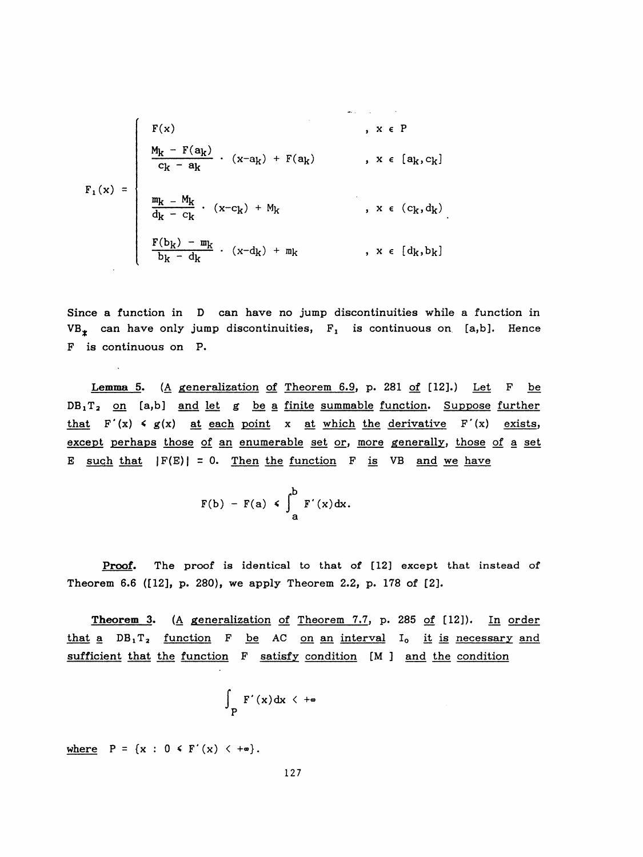$$
F_1(x) = \begin{cases} F(x) & , x \in P \\ \frac{M_k - F(a_k)}{c_k - a_k} & , (x - a_k) + F(a_k) & , x \in [a_k, c_k] \\ \frac{m_k - M_k}{d_k - c_k} & , (x - c_k) + M_k & , x \in (c_k, d_k) \\ \frac{F(b_k) - m_k}{b_k - d_k} & , (x - d_k) + m_k & , x \in [d_k, b_k] \end{cases}
$$

 Since a function in D can have no jump discontinuities while a function in  $VB_{*}$  can have only jump discontinuities,  $F_{1}$  is continuous on [a,b]. Hence F is continuous on P.

 Lemma 5. (A generalization of Theorem 6.9. p. 281 of [12].) Let F be  $DB_1T_2$  on [a,b] and let g be a finite summable function. Suppose further that  $F'(x) \le g(x)$  at each point x at which the derivative  $F'(x)$  exists, except perhaps those of an enumerable set or, more generally, those of a set E such that  $|F(E)| = 0$ . Then the function F is VB and we have

$$
F(b) - F(a) \leqslant \int_{a}^{b} F'(x) dx.
$$

Proof. The proof is identical to that of [12] except that instead of Theorem 6.6 ([12], p. 280), we apply Theorem 2.2, p. 178 of [2].

 Theorem 3. (A generalization of Theorem 7.7, p. 285 of [12]). In order that a  $DB_1T_2$  function F be AC on an interval I<sub>0</sub> it is necessary and sufficient that the function F satisfy condition [M ] and the condition

$$
\int_{P} F'(x) dx \leq +\infty
$$

where  $P = \{x : 0 \leq F'(x) \leq +\infty\}.$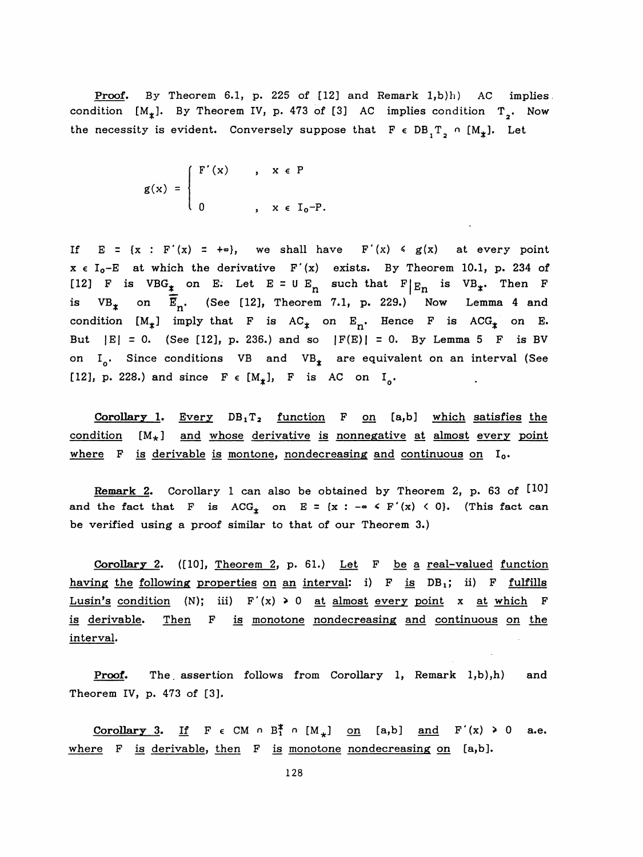Proof. By Theorem 6.1, p. 225 of [12] and Remark 1,b)h) AC implies. condition  $[M^*_{\star}]$ . By Theorem IV, p. 473 of [3] AC implies condition T<sub>2</sub>. Now the necessity is evident. Conversely suppose that  $F \in DB_{1}T_{2} \cap [M_{*}].$  Let

$$
g(x) = \begin{cases} F'(x) & , x \in P \\ 0 & , x \in I_0-P. \end{cases}
$$

If  $E = {x : F'(x) = +\infty}$ , we shall have  $F'(x) \le g(x)$  at every point  $x \in I_0-E$  at which the derivative  $F'(x)$  exists. By Theorem 10.1, p. 234 of [12] F is VBG<sub>\*</sub> on E. Let E = U E<sub>n</sub> such that F | E<sub>n</sub> is VB<sub>\*</sub>. Then F is VB<sub>\*</sub> on E<sub>n</sub>. (See [12], Theorem 7.1, p. 229.) Now Lemma 4 and  $VB_{*}$  on  $\overline{E}_{n}$ . (See [12], Theorem 7.1, p. 229.) Now Lemma 4 and condition  $[M^*_{\ast}]$  imply that F is AC<sub>\*</sub> on E<sub>n</sub>. Hence F is ACG<sub>\*</sub> on E. But  $|E| = 0$ . (See [12], p. 236.) and so  $|F(E)| = 0$ . By Lemma 5 F is BV on I<sub>0</sub>. Since conditions VB and VB<sub> $*$ </sub> are equivalent on an interval (See [12], p. 228.) and since  $F \in [M_{\star}]$ , F is AC on I<sub>0</sub>.

Corollary 1. Every  $DB_1T_2$  function F on [a,b] which satisfies the condition  $[M_*]$  and whose derivative is nonnegative at almost every point where F is derivable is montone, nondecreasing and continuous on I<sub>0</sub>.

Remark 2. Corollary 1 can also be obtained by Theorem 2, p. 63 of  $[10]$ and the fact that F is  ${ACG^*_{x}}$  on E = {x : -® < F'(x) < 0}. (This fact can be verified using a proof similar to that of our Theorem 3.)

 Corollary 2. ([10], Theorem 2, p. 61.) Let F be a real-valued function having the following properties on an interval: i)  $F$  is  $DB_1$ ; ii)  $F$  fulfills Lusin's condition (N); iii)  $F'(x) \ge 0$  at almost every point x at which F is derivable. Then F is monotone nondecreasing and continuous on the interval.

Proof. The assertion follows from Corollary 1, Remark 1,b),h) and Theorem IV, p. 473 of [3].

Corollary 3. If  $F \in CM \cap B_1^* \cap [M_+]$  on [a,b] and  $F'(x) \ge 0$  a.e. where F is derivable, then F is monotone nondecreasing on [a,b].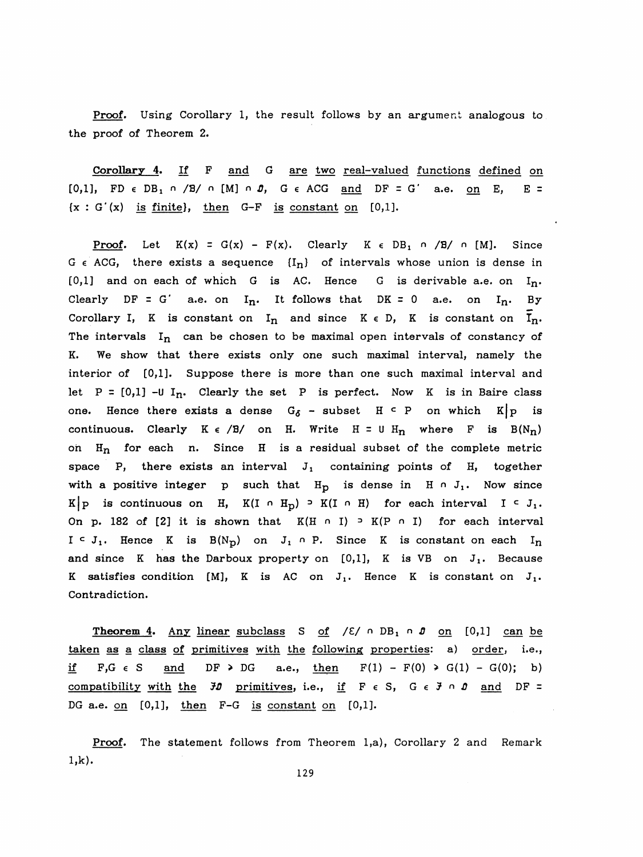Proof. Using Corollary 1, the result follows by an argument analogous to the proof of Theorem 2.

 Corollary 4. If F and G are two real-valued functions defined on [0,1], FD  $\epsilon$  DB<sub>1</sub>  $\alpha$  /B/  $\alpha$  [M]  $\alpha$  *D*, G  $\epsilon$  ACG and DF = G' a.e. on E, E =  ${x : G'(x)$  is finite), then G-F is constant on [0,1].

Proof. Let  $K(x) = G(x) - F(x)$ . Clearly  $K \in DB_1 \cap /B' \cap [M]$ . Since G  $\epsilon$  ACG, there exists a sequence  ${I_n}$  of intervals whose union is dense in  $[0,1]$  and on each of which G is AC. Hence G is derivable a.e. on  $I_n$ . Clearly DF = G' a.e. on  $I_n$ . It follows that DK = 0 a.e. on  $I_n$ . By Corollary I, K is constant on  $I_n$  and since  $K \in D$ , K is constant on  $I_n$ . The intervals  $I_n$  can be chosen to be maximal open intervals of constancy of K. We show that there exists only one such maximal interval, namely the interior of [0,1]. Suppose there is more than one such maximal interval and let  $P = [0,1]$  -U I<sub>n</sub>. Clearly the set P is perfect. Now K is in Baire class one. Hence there exists a dense  $G_{\delta}$  - subset H  $\epsilon$  P on which K | p is continuous. Clearly  $K \in /B/$  on H. Write  $H = U H_n$  where F is  $B(N_n)$ on  $H_n$  for each n. Since H is a residual subset of the complete metric space P, there exists an interval  $J_1$  containing points of H, together with a positive integer p such that  $H_p$  is dense in H  $\cap$  J<sub>1</sub>. Now since K|p is continuous on H, K(I  $\cap$  H<sub>p</sub>)  $\supset$  K(I  $\cap$  H) for each interval I  $\subseteq$  J<sub>1</sub>. On p. 182 of [2] it is shown that  $K(H \cap I) \supseteq K(P \cap I)$  for each interval  $I \subset J_1$ . Hence K is  $B(N_D)$  on  $J_1 \cap P$ . Since K is constant on each  $I_n$ and since K has the Darboux property on  $[0,1]$ , K is VB on  $J_1$ . Because K satisfies condition [M], K is AC on  $J_1$ . Hence K is constant on  $J_1$ . Contradiction.

Theorem 4. Any linear subclass S of  $/E / n DB_1 n D_0 n$  [0,1] can be taken as a class of primitives with the following properties: a) order, i.e., if F,G  $\epsilon$  S and DF > DG a.e., then  $F(1) - F(0)$  > G(1) - G(0); b) compatibility with the  $H$  primitives, i.e., if  $F \in S$ ,  $G \in H \cap D$  and  $DF =$ DG a.e. on  $[0,1]$ , then  $F-G$  is constant on  $[0,1]$ .

Proof. The statement follows from Theorem 1,a), Corollary 2 and Remark l,k).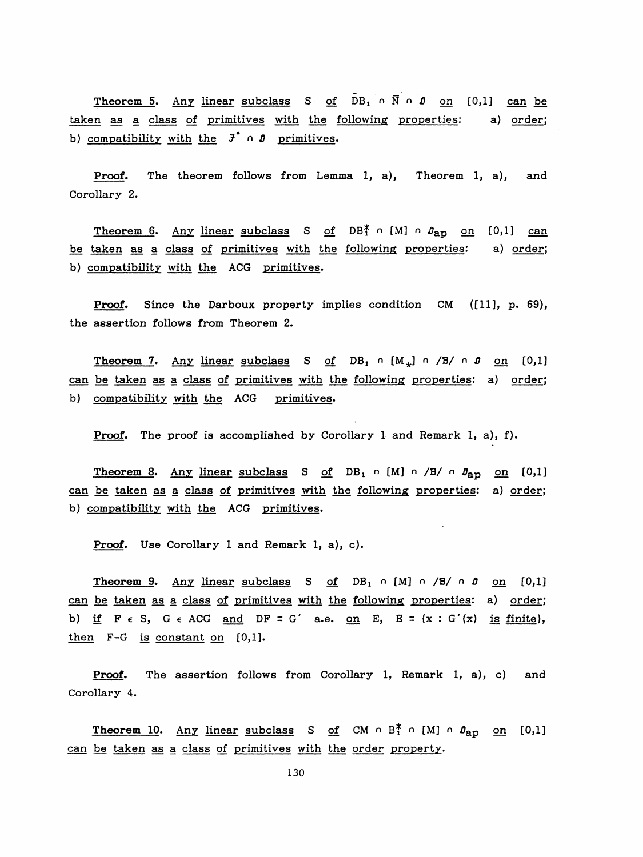Theorem 5. Any linear subclass S of  $DB_1 \cap \overline{N} \cap D$  on [0,1] can be taken as a class of primitives with the following properties: a) order; b) compatibility with the  $\vec{J}$   $\circ$   $\vec{J}$  primitives.

 Proof. The theorem follows from Lemma 1, a), Theorem 1, a), and Corollary 2.

Theorem 6. Any linear subclass S of DB<sup>\*</sup> n [M] n  $\theta_{\rm ap}$  on [0,1] can be taken as a class of primitives with the following properties: a) order; b) compatibility with the ACG primitives.

Proof. Since the Darboux property implies condition CM ([11], p. 69), the assertion follows from Theorem 2.

Theorem 7. Any linear subclass S of DB<sub>1</sub>  $\circ$  [M<sub>\*</sub>]  $\circ$  /B/  $\circ$  0 on [0,1] can be taken as a class of primitives with the following properties: a) order; b) compatibility with the ACG primitives.

Proof. The proof is accomplished by Corollary 1 and Remark 1, a), f).

Theorem 8. Any linear subclass S of DB<sub>1</sub>  $\cap$  [M]  $\cap$  /B/ $\cap$   $J_{ap}$  on [0,1] can be taken as a class of primitives with the following properties: a) order; b) compatibility with the ACG primitives.

Proof. Use Corollary 1 and Remark 1, a), c).

Theorem 9. Any linear subclass S of DB<sub>1</sub>  $\circ$  [M]  $\circ$  /B/ $\circ$  0 on [0,1] can be taken as a class of primitives with the following properties: a) order: b) if  $F \in S$ ,  $G \in ACG$  and  $DF = G'$  a.e. on  $E$ ,  $E = \{x : G'(x)$  is finite}, then F-G is constant on [0,1].

Proof. The assertion follows from Corollary 1, Remark 1, a), c) and Corollary 4.

**Theorem 10.** Any linear subclass S of CM  $\circ$  B<sup>\*</sup>  $\circ$  [M]  $\circ$   $\theta_{\text{ap}}$  on [0,1] can be taken as a class of primitives with the order property.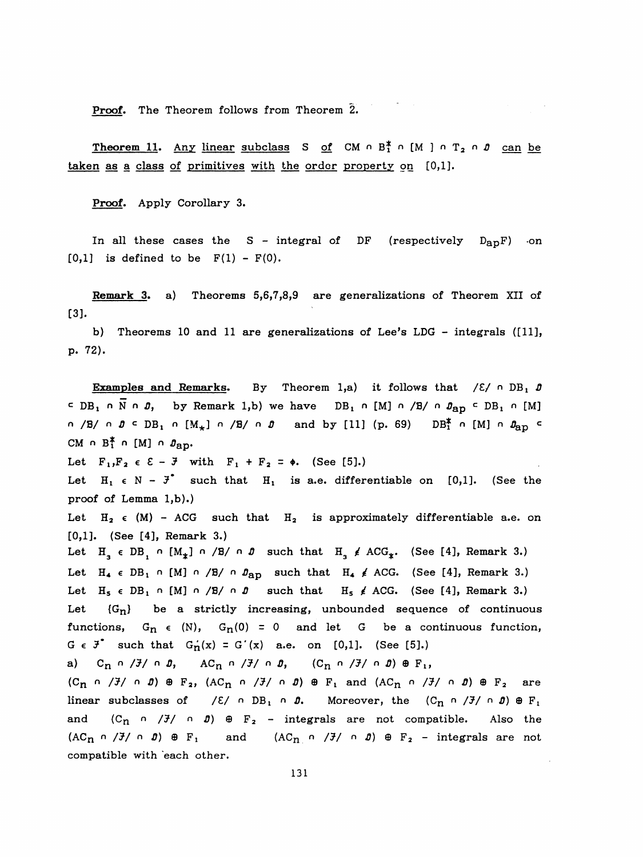Proof. The Theorem follows from Theorem 2.

**Theorem 11.** Any linear subclass S of CM  $\circ$  B<sup>\*</sup>  $\circ$  [M ]  $\circ$  T<sub>2</sub>  $\circ$  D can be taken as a class of primitives with the order property on [0,1].

Proof. Apply Corollary 3.

In all these cases the  $S$  - integral of DF (respectively  $D_{ap}F$ ) on  $[0,1]$  is defined to be  $F(1) - F(0)$ .

 Remark 3. a) Theorems 5,6,7,8,9 are generalizations of Theorem XII of [3].

 b) Theorems 10 and 11 are generalizations of Lee's LDG - integrals ([11], p. 72).

Examples and Remarks. By Theorem 1,a) it follows that  $\angle \varepsilon / \cap DB_1$  0  $\subset$  DB<sub>1</sub> n N n  $\hat{\theta}$ , by Remark 1,b) we have DB<sub>1</sub> n [M] n /B/ n  $\hat{\theta}_{AD}$   $\subset$  DB<sub>1</sub> n [M]  $n$  /B/  $n$   $0 \leq DB_1$   $n$   $[M_*]$   $n$  /B/  $n$   $0$  and by [11] (p. 69) DB<sup>\*</sup>  $n$  [M]  $n$   $\theta_{\text{ap}}$   $\in$ CM  $\cap$  B<sup>\*</sup><sub>1</sub></sub>  $\cap$  [M]  $\cap$   $\mathcal{D}_{\text{BD}}$ . Let  $F_1, F_2 \in \mathcal{E} - \mathcal{F}$  with  $F_1 + F_2 = \phi$ . (See [5].) Let  $H_1 \in N - J^*$  such that  $H_1$  is a.e. differentiable on [0,1]. (See the proof of Lemma l,b).) Let  $H_2 \in (M)$  - ACG such that  $H_2$  is approximately differentiable a.e. on [0,1]. (See [4], Remark 3.) Let  $H_3 \in DB_1 \cap [M_*] \cap /B / \cap D$  such that  $H_3 \nleq ACG_*$ . (See [4], Remark 3.) Let  $H_4 \in DB_1 \cap [M] \cap /B/ \cap \mathcal{B}_{AD}$  such that  $H_4 \neq ACG$ . (See [4], Remark 3.) Let  $H_5 \in DB_1 \cap [M] \cap /B / \cap D$  such that  $H_5 \neq ACG$ . (See [4], Remark 3.) Let  ${G_n}$  be a strictly increasing, unbounded sequence of continuous functions,  $G_n \in (N)$ ,  $G_n(0) = 0$  and let G be a continuous function,  $G \in J^{\bullet}$  such that  $G_{n}(x) = G'(x)$  a.e. on [0,1]. (See [5].) a)  $C_n \cap /J / \cap D$ ,  $AC_n \cap /J / \cap D$ ,  $(C_n \cap /J / \cap D) \oplus F_1$ ,  $(C_n \cap /J' \cap D) \oplus F_2$ ,  $(AC_n \cap /J' \cap D) \oplus F_1$  and  $(AC_n \cap /J' \cap D) \oplus F_2$  are linear subclasses of  $/E/ \cap DB_1 \cap D.$  Moreover, the  $(C_n \cap /J/ \cap D) \oplus F_1$ and  $(C_n \cap /J / \cap D) \oplus F_2$  - integrals are not compatible. Also the  $(AC_n \cap /J \cap J) \oplus F_1$  and  $(AC_n \cap /J \cap J) \oplus F_2$  - integrals are not compatible with each other.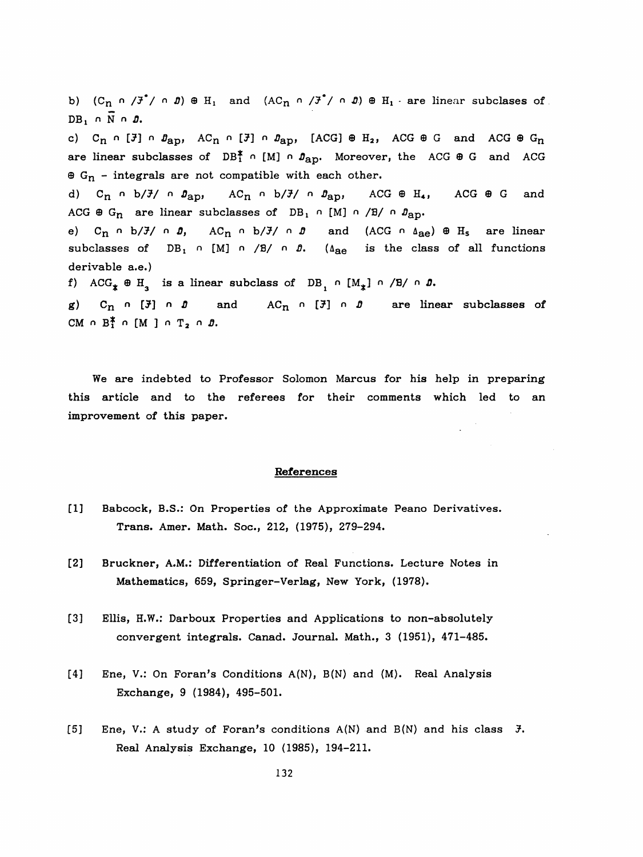b)  $(C_n \cap /J^*/ \cap D) \oplus H_1$  and  $(AC_n \cap /J^*/ \cap D) \oplus H_1$  are linear subclases of  $DB_1 \cap \overline{N} \cap D.$ c)  $C_n$   $\cap$  [*i*]  $\cap$   $\theta_{ap}$ ,  $AC_n$   $\cap$  [*i*]  $\cap$   $\theta_{ap}$ , [ACG]  $\oplus$  H<sub>2</sub>, ACG  $\oplus$  G and ACG  $\oplus$  G<sub>n</sub> are linear subclasses of  $DB_1^* \cap [M] \cap D_{AD}$ . Moreover, the ACG  $\oplus$  G and ACG  $\Theta$  G<sub>n</sub> - integrals are not compatible with each other. d) C<sub>n</sub>  $h/J$   $h$   $p_{\text{ap}}$ , AC<sub>n</sub>  $h/J$   $p_{\text{ap}}$ , ACG  $\oplus$  H<sub>4</sub>, ACG  $\oplus$  G and ACG  $\oplus$  G<sub>n</sub> are linear subclasses of DB<sub>1</sub> n [M] n /B/ n  $\mathfrak{g}_{\text{ap}}$ . e) C<sub>n</sub>  $\circ$  b/ $\frac{3}{4}$  o  $\frac{3}{4}$ , AC<sub>n</sub>  $\circ$  b/ $\frac{3}{4}$  o  $\frac{3}{4}$  and (ACG  $\circ$   $\circ$   $\circ$   $\circ$   $\circ$   $H_s$  are linear subclasses of  $DB_1$  n [M] n /B/ n  $\beta$ . ( $\Delta_{AB}$  is the class of all functions derivable a.e.) f) ACG<sub>\*</sub>  $\oplus$  H<sub>3</sub> is a linear subclass of DB<sub>1</sub> n [M<sub>\*</sub>] n /B/ n *D*. g)  $C_n \cap [\mathfrak{F}] \cap \mathfrak{D}$  and  $AC_n \cap [\mathfrak{F}] \cap \mathfrak{D}$  are linear subclasses of CM  $\cap$  B<sup>\*</sup><sub>1</sub>  $\cap$  [M ]  $\cap$  T<sub>2</sub>  $\cap$  *B*.

 We are indebted to Professor Solomon Marcus for his help in preparing this article and to the referees for their comments which led to an improvement of this paper.

## References

- [1] Babcock, B.S.: On Properties of the Approximate Peano Derivatives. Trans. Amer. Math. Soc., 212, (1975), 279-294.
- [2] Bruckner, A.M.: Differentiation of Real Functions. Lecture Notes in Mathematics, 659, Springer-Verlag, New York, (1978).
- [3] Ellis, H.W.: Darboux Properties and Applications to non-absolutely convergent integrals. Canad. Journal. Math., 3 (1951), 471-485.
- [4] Ene, V.: On Foran's Conditions A(N), B(N) and (M). Real Analysis Exchange, 9 (1984), 495-501.
- [5] Ene, V.: A study of Foran's conditions  $A(N)$  and  $B(N)$  and his class  $\mathcal{F}$ . Real Analysis Exchange, 10 (1985), 194-211.